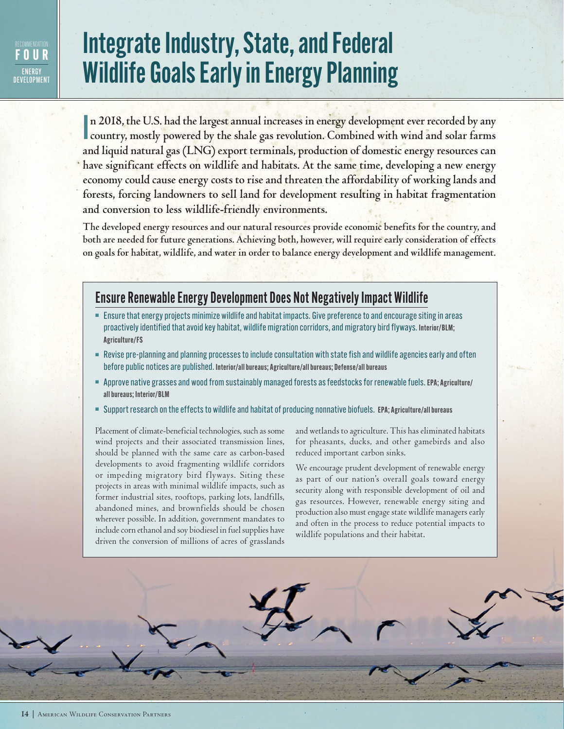## **FOUR ENFRGY** DEVELOPMENT

## Integrate Industry, State, and Federal Wildlife Goals Early in Energy Planning

I **n 2018, the U.S. had the largest annual increases in energy development ever recorded by any country, mostly powered by the shale gas revolution. Combined with wind and solar farms and liquid natural gas (LNG) export terminals, production of domestic energy resources can have significant effects on wildlife and habitats. At the same time, developing a new energy economy could cause energy costs to rise and threaten the affordability of working lands and forests, forcing landowners to sell land for development resulting in habitat fragmentation and conversion to less wildlife-friendly environments.** 

**The developed energy resources and our natural resources provide economic benefits for the country, and both are needed for future generations. Achieving both, however, will require early consideration of effects on goals for habitat, wildlife, and water in order to balance energy development and wildlife management.**

## Ensure Renewable Energy Development Does Not Negatively Impact Wildlife

- <sup>n</sup> Ensure that energy projects minimize wildlife and habitat impacts. Give preference to and encourage siting in areas proactively identified that avoid key habitat, wildlife migration corridors, and migratory bird flyways. **Interior/BLM; Agriculture/FS**
- **Revise pre-planning and planning processes to include consultation with state fish and wildlife agencies early and often** before public notices are published. **Interior/all bureaus; Agriculture/all bureaus; Defense/all bureaus**
- <sup>n</sup> Approve native grasses and wood from sustainably managed forests as feedstocks for renewable fuels. **EPA; Agriculture/ all bureaus; Interior/BLM**
- <sup>n</sup> Support research on the effects to wildlife and habitat of producing nonnative biofuels. **EPA; Agriculture/all bureaus**

Placement of climate-beneficial technologies, such as some wind projects and their associated transmission lines, should be planned with the same care as carbon-based developments to avoid fragmenting wildlife corridors or impeding migratory bird flyways. Siting these projects in areas with minimal wildlife impacts, such as former industrial sites, rooftops, parking lots, landfills, abandoned mines, and brownfields should be chosen wherever possible. In addition, government mandates to include corn ethanol and soy biodiesel in fuel supplies have driven the conversion of millions of acres of grasslands and wetlands to agriculture. This has eliminated habitats for pheasants, ducks, and other gamebirds and also reduced important carbon sinks.

We encourage prudent development of renewable energy as part of our nation's overall goals toward energy security along with responsible development of oil and gas resources. However, renewable energy siting and production also must engage state wildlife managers early and often in the process to reduce potential impacts to wildlife populations and their habitat.